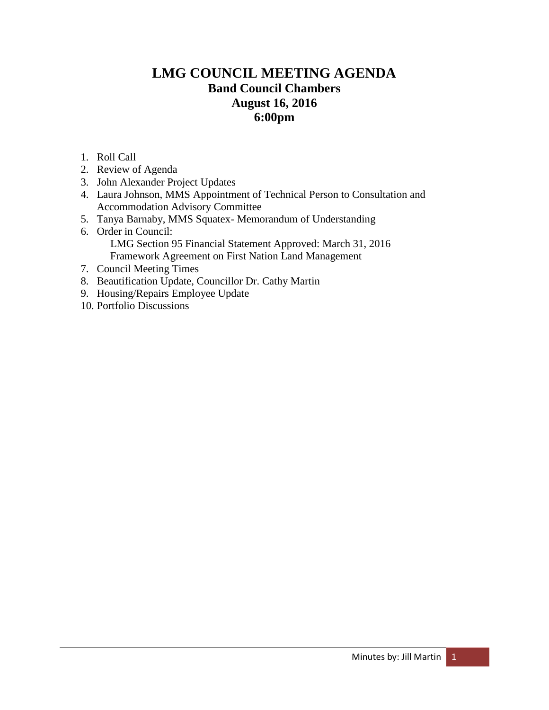# **LMG COUNCIL MEETING AGENDA Band Council Chambers August 16, 2016 6:00pm**

- 1. Roll Call
- 2. Review of Agenda
- 3. John Alexander Project Updates
- 4. Laura Johnson, MMS Appointment of Technical Person to Consultation and Accommodation Advisory Committee
- 5. Tanya Barnaby, MMS Squatex- Memorandum of Understanding
- 6. Order in Council: LMG Section 95 Financial Statement Approved: March 31, 2016 Framework Agreement on First Nation Land Management
- 7. Council Meeting Times
- 8. Beautification Update, Councillor Dr. Cathy Martin
- 9. Housing/Repairs Employee Update
- 10. Portfolio Discussions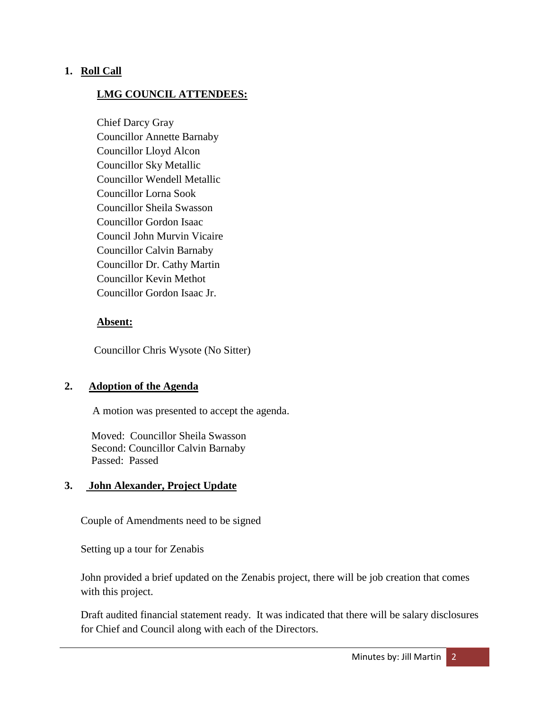# **1. Roll Call**

# **LMG COUNCIL ATTENDEES:**

Chief Darcy Gray Councillor Annette Barnaby Councillor Lloyd Alcon Councillor Sky Metallic Councillor Wendell Metallic Councillor Lorna Sook Councillor Sheila Swasson Councillor Gordon Isaac Council John Murvin Vicaire Councillor Calvin Barnaby Councillor Dr. Cathy Martin Councillor Kevin Methot Councillor Gordon Isaac Jr.

## **Absent:**

Councillor Chris Wysote (No Sitter)

## **2. Adoption of the Agenda**

A motion was presented to accept the agenda.

 Moved: Councillor Sheila Swasson Second: Councillor Calvin Barnaby Passed: Passed

## **3. John Alexander, Project Update**

Couple of Amendments need to be signed

Setting up a tour for Zenabis

John provided a brief updated on the Zenabis project, there will be job creation that comes with this project.

Draft audited financial statement ready. It was indicated that there will be salary disclosures for Chief and Council along with each of the Directors.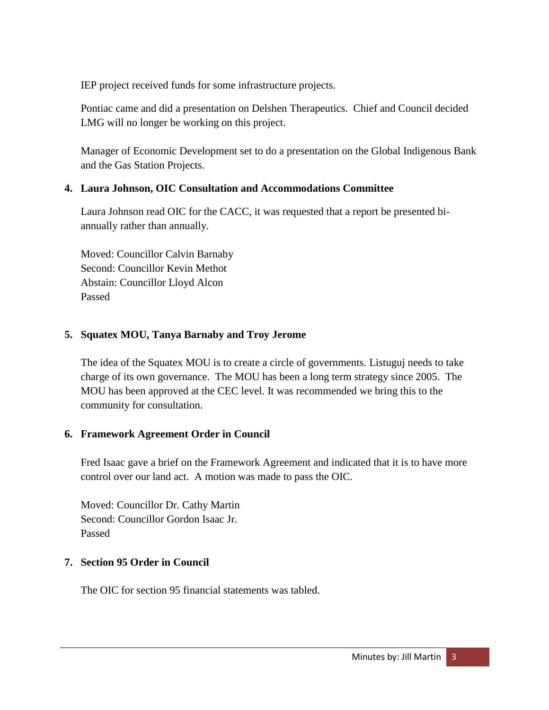IEP project received funds for some infrastructure projects.

Pontiac came and did a presentation on Delshen Therapeutics. Chief and Council decided LMG will no longer be working on this project.

Manager of Economic Development set to do a presentation on the Global Indigenous Bank and the Gas Station Projects.

# **4. Laura Johnson, OIC Consultation and Accommodations Committee**

Laura Johnson read OIC for the CACC, it was requested that a report be presented biannually rather than annually.

Moved: Councillor Calvin Barnaby Second: Councillor Kevin Methot Abstain: Councillor Lloyd Alcon Passed

# **5. Squatex MOU, Tanya Barnaby and Troy Jerome**

The idea of the Squatex MOU is to create a circle of governments. Listuguj needs to take charge of its own governance. The MOU has been a long term strategy since 2005. The MOU has been approved at the CEC level. It was recommended we bring this to the community for consultation.

# **6. Framework Agreement Order in Council**

Fred Isaac gave a brief on the Framework Agreement and indicated that it is to have more control over our land act. A motion was made to pass the OIC.

Moved: Councillor Dr. Cathy Martin Second: Councillor Gordon Isaac Jr. Passed

# **7. Section 95 Order in Council**

The OIC for section 95 financial statements was tabled.